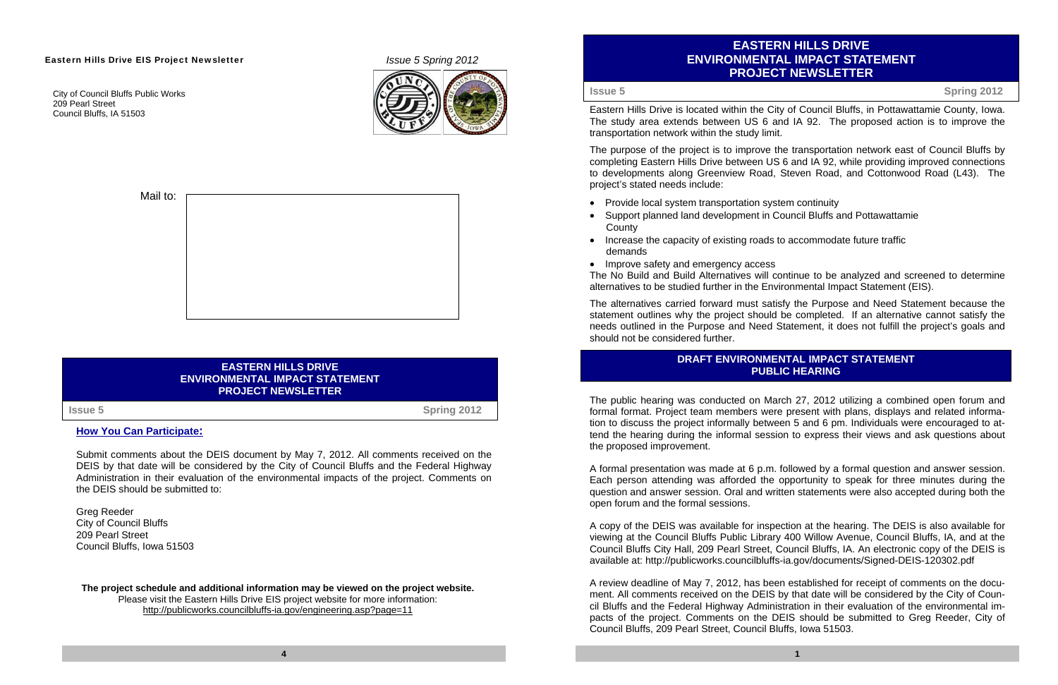# **EASTERN HILLS DRIVE ENVIRONMENTAL IMPACT STATEMENT PROJECT NEWSLETTER**

Eastern Hills Drive is located within the City of Council Bluffs, in Pottawattamie County, Iowa. The study area extends between US 6 and IA 92. The proposed action is to improve the transportation network within the study limit.

The purpose of the project is to improve the transportation network east of Council Bluffs by completing Eastern Hills Drive between US 6 and IA 92, while providing improved connections to developments along Greenview Road, Steven Road, and Cottonwood Road (L43). The project's stated needs include:

• Improve safety and emergency access The No Build and Build Alternatives will continue to be analyzed and screened to determine alternatives to be studied further in the Environmental Impact Statement (EIS).

- Provide local system transportation system continuity
- Support planned land development in Council Bluffs and Pottawattamie **County**
- Increase the capacity of existing roads to accommodate future traffic demands

The alternatives carried forward must satisfy the Purpose and Need Statement because the statement outlines why the project should be completed. If an alternative cannot satisfy the needs outlined in the Purpose and Need Statement, it does not fulfill the project's goals and should not be considered further.

The public hearing was conducted on March 27, 2012 utilizing a combined open forum and formal format. Project team members were present with plans, displays and related information to discuss the project informally between 5 and 6 pm. Individuals were encouraged to attend the hearing during the informal session to express their views and ask questions about the proposed improvement.

**The project schedule and additional information may be viewed on the project website.**  Please visit the Eastern Hills Drive EIS project website for more information: http://publicworks.councilbluffs-ia.gov/engineering.asp?page=11

A formal presentation was made at 6 p.m. followed by a formal question and answer session. Each person attending was afforded the opportunity to speak for three minutes during the question and answer session. Oral and written statements were also accepted during both the open forum and the formal sessions.

A copy of the DEIS was available for inspection at the hearing. The DEIS is also available for viewing at the Council Bluffs Public Library 400 Willow Avenue, Council Bluffs, IA, and at the Council Bluffs City Hall, 209 Pearl Street, Council Bluffs, IA. An electronic copy of the DEIS is available at: http://publicworks.councilbluffs-ia.gov/documents/Signed-DEIS-120302.pdf

A review deadline of May 7, 2012, has been established for receipt of comments on the document. All comments received on the DEIS by that date will be considered by the City of Council Bluffs and the Federal Highway Administration in their evaluation of the environmental impacts of the project. Comments on the DEIS should be submitted to Greg Reeder, City of Council Bluffs, 209 Pearl Street, Council Bluffs, Iowa 51503.

#### Eastern Hills Drive EIS Project Newsletter *Issue 5 Spring 2012*

City of Council Bluffs Public Works 209 Pearl Street Council Bluffs, IA 51503





### **EASTERN HILLS DRIVE ENVIRONMENTAL IMPACT STATEMENT PROJECT NEWSLETTER**

**How You Can Participate:**

Submit comments about the DEIS document by May 7, 2012. All comments received on the DEIS by that date will be considered by the City of Council Bluffs and the Federal Highway Administration in their evaluation of the environmental impacts of the project. Comments on the DEIS should be submitted to:

Greg Reeder City of Council Bluffs 209 Pearl Street Council Bluffs, Iowa 51503

**Issue 5**

**Spring 2012**

**Issue 5**

## **Spring 2012**

## **DRAFT ENVIRONMENTAL IMPACT STATEMENT PUBLIC HEARING**